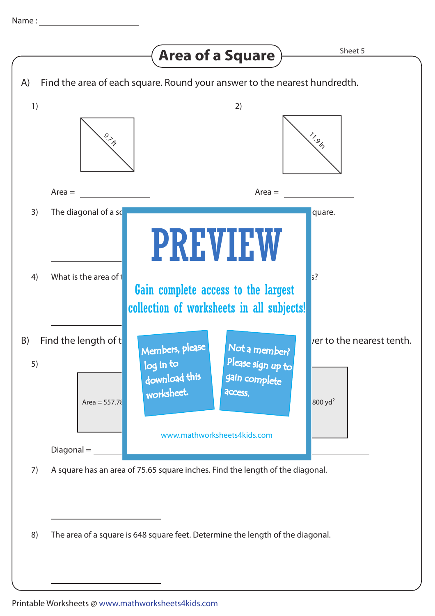